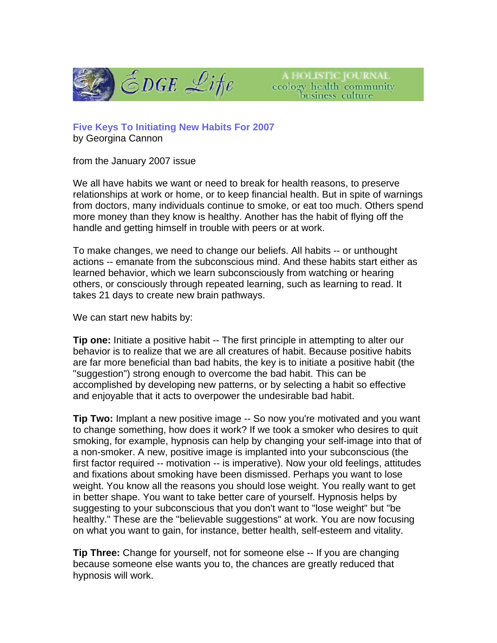

A HOLISTIC JOURNAL ccology health community<br>business culture

**Five Keys To Initiating New Habits For 2007** by Georgina Cannon

from the January 2007 issue

We all have habits we want or need to break for health reasons, to preserve relationships at work or home, or to keep financial health. But in spite of warnings from doctors, many individuals continue to smoke, or eat too much. Others spend more money than they know is healthy. Another has the habit of flying off the handle and getting himself in trouble with peers or at work.

To make changes, we need to change our beliefs. All habits -- or unthought actions -- emanate from the subconscious mind. And these habits start either as learned behavior, which we learn subconsciously from watching or hearing others, or consciously through repeated learning, such as learning to read. It takes 21 days to create new brain pathways.

We can start new habits by:

**Tip one:** Initiate a positive habit -- The first principle in attempting to alter our behavior is to realize that we are all creatures of habit. Because positive habits are far more beneficial than bad habits, the key is to initiate a positive habit (the "suggestion") strong enough to overcome the bad habit. This can be accomplished by developing new patterns, or by selecting a habit so effective and enjoyable that it acts to overpower the undesirable bad habit.

**Tip Two:** Implant a new positive image -- So now you're motivated and you want to change something, how does it work? If we took a smoker who desires to quit smoking, for example, hypnosis can help by changing your self-image into that of a non-smoker. A new, positive image is implanted into your subconscious (the first factor required -- motivation -- is imperative). Now your old feelings, attitudes and fixations about smoking have been dismissed. Perhaps you want to lose weight. You know all the reasons you should lose weight. You really want to get in better shape. You want to take better care of yourself. Hypnosis helps by suggesting to your subconscious that you don't want to "lose weight" but "be healthy." These are the "believable suggestions" at work. You are now focusing on what you want to gain, for instance, better health, self-esteem and vitality.

**Tip Three:** Change for yourself, not for someone else -- If you are changing because someone else wants you to, the chances are greatly reduced that hypnosis will work.